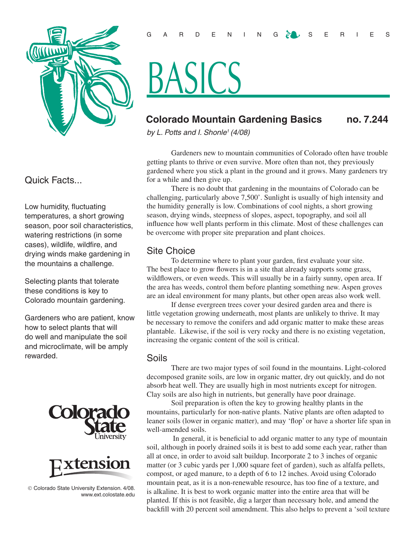

# Quick Facts...

Low humidity, fluctuating temperatures, a short growing season, poor soil characteristics, watering restrictions (in some cases), wildlife, wildfire, and drying winds make gardening in the mountains a challenge.

Selecting plants that tolerate these conditions is key to Colorado mountain gardening.

Gardeners who are patient, know how to select plants that will do well and manipulate the soil and microclimate, will be amply rewarded.





 Colorado State University Extension. 4/08. www.ext.colostate.edu

# BASICS

# **Colorado Mountain Gardening Basics no. 7.244**

*by L. Potts and I. Shonle1 (4/08)*

Gardeners new to mountain communities of Colorado often have trouble getting plants to thrive or even survive. More often than not, they previously gardened where you stick a plant in the ground and it grows. Many gardeners try for a while and then give up.

There is no doubt that gardening in the mountains of Colorado can be challenging, particularly above 7,500'. Sunlight is usually of high intensity and the humidity generally is low. Combinations of cool nights, a short growing season, drying winds, steepness of slopes, aspect, topography, and soil all influence how well plants perform in this climate. Most of these challenges can be overcome with proper site preparation and plant choices.

# Site Choice

To determine where to plant your garden, first evaluate your site. The best place to grow flowers is in a site that already supports some grass, wildflowers, or even weeds. This will usually be in a fairly sunny, open area. If the area has weeds, control them before planting something new. Aspen groves are an ideal environment for many plants, but other open areas also work well.

If dense evergreen trees cover your desired garden area and there is little vegetation growing underneath, most plants are unlikely to thrive. It may be necessary to remove the conifers and add organic matter to make these areas plantable. Likewise, if the soil is very rocky and there is no existing vegetation, increasing the organic content of the soil is critical.

#### Soils

There are two major types of soil found in the mountains. Light-colored decomposed granite soils, are low in organic matter, dry out quickly, and do not absorb heat well. They are usually high in most nutrients except for nitrogen. Clay soils are also high in nutrients, but generally have poor drainage.

Soil preparation is often the key to growing healthy plants in the mountains, particularly for non-native plants. Native plants are often adapted to leaner soils (lower in organic matter), and may 'flop' or have a shorter life span in well-amended soils.

 In general, it is beneficial to add organic matter to any type of mountain soil, although in poorly drained soils it is best to add some each year, rather than all at once, in order to avoid salt buildup. Incorporate 2 to 3 inches of organic matter (or 3 cubic yards per 1,000 square feet of garden), such as alfalfa pellets, compost, or aged manure, to a depth of 6 to 12 inches. Avoid using Colorado mountain peat, as it is a non-renewable resource, has too fine of a texture, and is alkaline. It is best to work organic matter into the entire area that will be planted. If this is not feasible, dig a larger than necessary hole, and amend the backfill with 20 percent soil amendment. This also helps to prevent a 'soil texture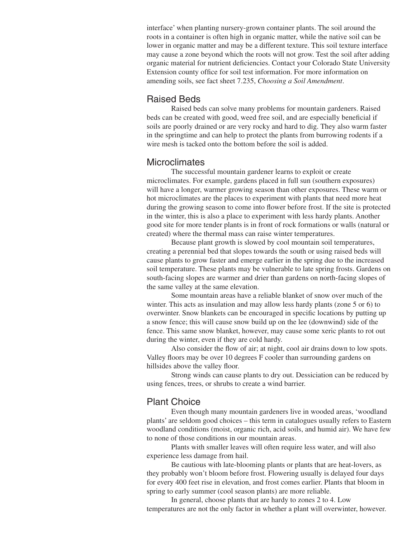interface' when planting nursery-grown container plants. The soil around the roots in a container is often high in organic matter, while the native soil can be lower in organic matter and may be a different texture. This soil texture interface may cause a zone beyond which the roots will not grow. Test the soil after adding organic material for nutrient deficiencies. Contact your Colorado State University Extension county office for soil test information. For more information on amending soils, see fact sheet 7.235, *Choosing a Soil Amendment*.

#### Raised Beds

Raised beds can solve many problems for mountain gardeners. Raised beds can be created with good, weed free soil, and are especially beneficial if soils are poorly drained or are very rocky and hard to dig. They also warm faster in the springtime and can help to protect the plants from burrowing rodents if a wire mesh is tacked onto the bottom before the soil is added.

#### **Microclimates**

The successful mountain gardener learns to exploit or create microclimates. For example, gardens placed in full sun (southern exposures) will have a longer, warmer growing season than other exposures. These warm or hot microclimates are the places to experiment with plants that need more heat during the growing season to come into flower before frost. If the site is protected in the winter, this is also a place to experiment with less hardy plants. Another good site for more tender plants is in front of rock formations or walls (natural or created) where the thermal mass can raise winter temperatures.

Because plant growth is slowed by cool mountain soil temperatures, creating a perennial bed that slopes towards the south or using raised beds will cause plants to grow faster and emerge earlier in the spring due to the increased soil temperature. These plants may be vulnerable to late spring frosts. Gardens on south-facing slopes are warmer and drier than gardens on north-facing slopes of the same valley at the same elevation.

Some mountain areas have a reliable blanket of snow over much of the winter. This acts as insulation and may allow less hardy plants (zone 5 or 6) to overwinter. Snow blankets can be encouraged in specific locations by putting up a snow fence; this will cause snow build up on the lee (downwind) side of the fence. This same snow blanket, however, may cause some xeric plants to rot out during the winter, even if they are cold hardy.

Also consider the flow of air; at night, cool air drains down to low spots. Valley floors may be over 10 degrees F cooler than surrounding gardens on hillsides above the valley floor.

Strong winds can cause plants to dry out. Dessiciation can be reduced by using fences, trees, or shrubs to create a wind barrier.

#### Plant Choice

Even though many mountain gardeners live in wooded areas, 'woodland plants' are seldom good choices – this term in catalogues usually refers to Eastern woodland conditions (moist, organic rich, acid soils, and humid air). We have few to none of those conditions in our mountain areas.

Plants with smaller leaves will often require less water, and will also experience less damage from hail.

Be cautious with late-blooming plants or plants that are heat-lovers, as they probably won't bloom before frost. Flowering usually is delayed four days for every 400 feet rise in elevation, and frost comes earlier. Plants that bloom in spring to early summer (cool season plants) are more reliable.

In general, choose plants that are hardy to zones 2 to 4. Low temperatures are not the only factor in whether a plant will overwinter, however.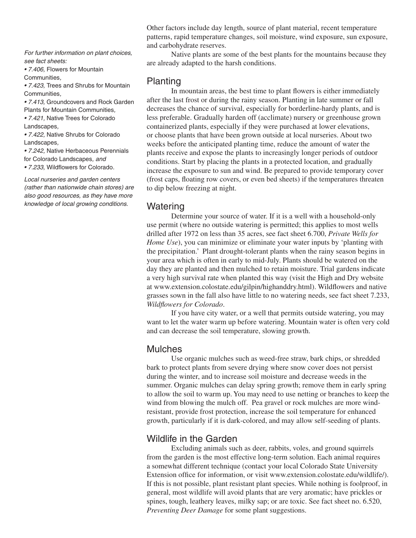*For further information on plant choices, see fact sheets:* 

*• 7.406,* Flowers for Mountain Communities*,* 

*• 7.423,* Trees and Shrubs for Mountain Communities*,* 

*• 7.413,* Groundcovers and Rock Garden Plants for Mountain Communities*,* 

*• 7.421,* Native Trees for Colorado Landscapes*,* 

*• 7.422,* Native Shrubs for Colorado Landscapes*,* 

*• 7.242,* Native Herbaceous Perennials for Colorado Landscapes*, and* 

*• 7.233,* Wildflowers for Colorado*.* 

*Local nurseries and garden centers (rather than nationwide chain stores) are also good resources, as they have more knowledge of local growing conditions.*

Other factors include day length, source of plant material, recent temperature patterns, rapid temperature changes, soil moisture, wind exposure, sun exposure, and carbohydrate reserves.

Native plants are some of the best plants for the mountains because they are already adapted to the harsh conditions.

#### Planting

In mountain areas, the best time to plant flowers is either immediately after the last frost or during the rainy season. Planting in late summer or fall decreases the chance of survival, especially for borderline-hardy plants, and is less preferable. Gradually harden off (acclimate) nursery or greenhouse grown containerized plants, especially if they were purchased at lower elevations, or choose plants that have been grown outside at local nurseries. About two weeks before the anticipated planting time, reduce the amount of water the plants receive and expose the plants to increasingly longer periods of outdoor conditions. Start by placing the plants in a protected location, and gradually increase the exposure to sun and wind. Be prepared to provide temporary cover (frost caps, floating row covers, or even bed sheets) if the temperatures threaten to dip below freezing at night.

#### **Watering**

Determine your source of water. If it is a well with a household-only use permit (where no outside watering is permitted; this applies to most wells drilled after 1972 on less than 35 acres, see fact sheet 6.700, *Private Wells for Home Use*), you can minimize or eliminate your water inputs by 'planting with the precipitation.' Plant drought-tolerant plants when the rainy season begins in your area which is often in early to mid-July. Plants should be watered on the day they are planted and then mulched to retain moisture. Trial gardens indicate a very high survival rate when planted this way (visit the High and Dry website at www.extension.colostate.edu/gilpin/highanddry.html). Wildflowers and native grasses sown in the fall also have little to no watering needs, see fact sheet 7.233, *Wildflowers for Colorado*.

If you have city water, or a well that permits outside watering, you may want to let the water warm up before watering. Mountain water is often very cold and can decrease the soil temperature, slowing growth.

#### Mulches

Use organic mulches such as weed-free straw, bark chips, or shredded bark to protect plants from severe drying where snow cover does not persist during the winter, and to increase soil moisture and decrease weeds in the summer. Organic mulches can delay spring growth; remove them in early spring to allow the soil to warm up. You may need to use netting or branches to keep the wind from blowing the mulch off. Pea gravel or rock mulches are more windresistant, provide frost protection, increase the soil temperature for enhanced growth, particularly if it is dark-colored, and may allow self-seeding of plants.

#### Wildlife in the Garden

Excluding animals such as deer, rabbits, voles, and ground squirrels from the garden is the most effective long-term solution. Each animal requires a somewhat different technique (contact your local Colorado State University Extension office for information, or visit www.extension.colostate.edu/wildlife/). If this is not possible, plant resistant plant species. While nothing is foolproof, in general, most wildlife will avoid plants that are very aromatic; have prickles or spines, tough, leathery leaves, milky sap; or are toxic. See fact sheet no. 6.520, *Preventing Deer Damage* for some plant suggestions.